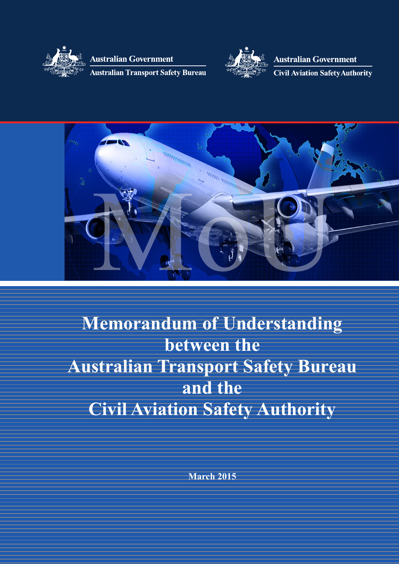

**Australian Government** 

**Australian Transport Safety Bureau** 



**Australian Government Civil Aviation Safety Authority** 



**Memorandum of Understanding between the Australian Transport Safety Bureau and the Civil Aviation Safety Authority**

**March 2015**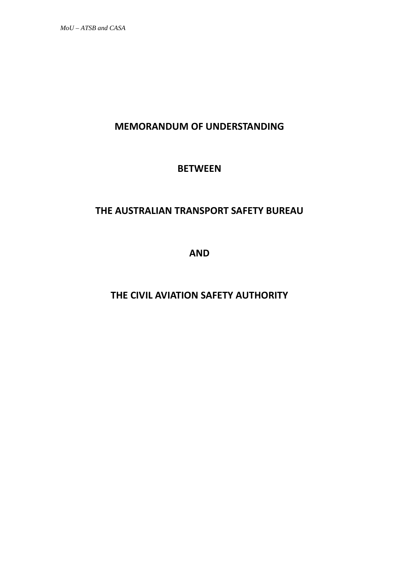*MoU – ATSB and CASA*

# **MEMORANDUM OF UNDERSTANDING**

# **BETWEEN**

# **THE AUSTRALIAN TRANSPORT SAFETY BUREAU**

**AND**

**THE CIVIL AVIATION SAFETY AUTHORITY**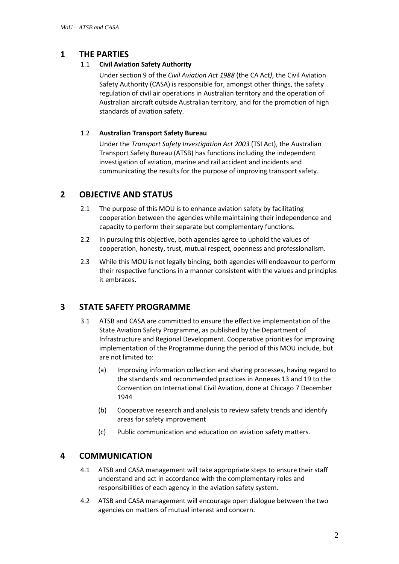# **1 THE PARTIES**

### 1.1 **Civil Aviation Safety Authority**

Under section 9 of the *Civil Aviation Act 1988* (the CA Act*)*, the Civil Aviation Safety Authority (CASA) is responsible for, amongst other things, the safety regulation of civil air operations in Australian territory and the operation of Australian aircraft outside Australian territory, and for the promotion of high standards of aviation safety.

### 1.2 **Australian Transport Safety Bureau**

Under the *Transport Safety Investigation Act 2003* (TSI Act), the Australian Transport Safety Bureau (ATSB) has functions including the independent investigation of aviation, marine and rail accident and incidents and communicating the results for the purpose of improving transport safety.

# **2 OBJECTIVE AND STATUS**

- 2.1 The purpose of this MOU is to enhance aviation safety by facilitating cooperation between the agencies while maintaining their independence and capacity to perform their separate but complementary functions.
- 2.2 In pursuing this objective, both agencies agree to uphold the values of cooperation, honesty, trust, mutual respect, openness and professionalism.
- 2.3 While this MOU is not legally binding, both agencies will endeavour to perform their respective functions in a manner consistent with the values and principles it embraces.

# **3 STATE SAFETY PROGRAMME**

- 3.1 ATSB and CASA are committed to ensure the effective implementation of the State Aviation Safety Programme, as published by the Department of Infrastructure and Regional Development. Cooperative priorities for improving implementation of the Programme during the period of this MOU include, but are not limited to:
	- (a) Improving information collection and sharing processes, having regard to the standards and recommended practices in Annexes 13 and 19 to the Convention on International Civil Aviation, done at Chicago 7 December 1944
	- (b) Cooperative research and analysis to review safety trends and identify areas for safety improvement
	- (c) Public communication and education on aviation safety matters.

# **4 COMMUNICATION**

- 4.1 ATSB and CASA management will take appropriate steps to ensure their staff understand and act in accordance with the complementary roles and responsibilities of each agency in the aviation safety system.
- 4.2 ATSB and CASA management will encourage open dialogue between the two agencies on matters of mutual interest and concern.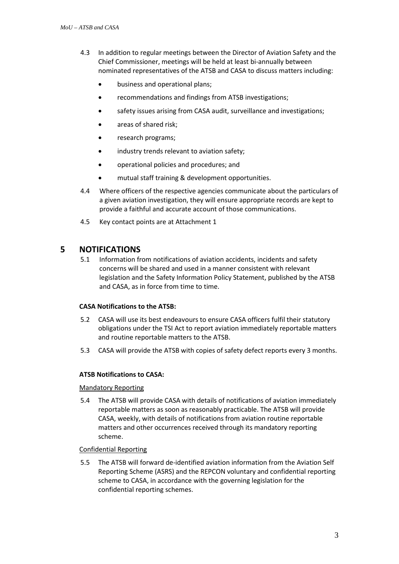- 4.3 In addition to regular meetings between the Director of Aviation Safety and the Chief Commissioner, meetings will be held at least bi-annually between nominated representatives of the ATSB and CASA to discuss matters including:
	- business and operational plans;
	- recommendations and findings from ATSB investigations;
	- safety issues arising from CASA audit, surveillance and investigations;
	- areas of shared risk:
	- research programs;
	- industry trends relevant to aviation safety;
	- operational policies and procedures; and
	- mutual staff training & development opportunities.
- 4.4 Where officers of the respective agencies communicate about the particulars of a given aviation investigation, they will ensure appropriate records are kept to provide a faithful and accurate account of those communications.
- 4.5 Key contact points are at Attachment 1

### **5 NOTIFICATIONS**

5.1 Information from notifications of aviation accidents, incidents and safety concerns will be shared and used in a manner consistent with relevant legislation and the Safety Information Policy Statement, published by the ATSB and CASA, as in force from time to time.

#### **CASA Notifications to the ATSB:**

- 5.2 CASA will use its best endeavours to ensure CASA officers fulfil their statutory obligations under the TSI Act to report aviation immediately reportable matters and routine reportable matters to the ATSB.
- 5.3 CASA will provide the ATSB with copies of safety defect reports every 3 months.

#### **ATSB Notifications to CASA:**

#### Mandatory Reporting

5.4 The ATSB will provide CASA with details of notifications of aviation immediately reportable matters as soon as reasonably practicable. The ATSB will provide CASA, weekly, with details of notifications from aviation routine reportable matters and other occurrences received through its mandatory reporting scheme.

#### Confidential Reporting

5.5 The ATSB will forward de-identified aviation information from the Aviation Self Reporting Scheme (ASRS) and the REPCON voluntary and confidential reporting scheme to CASA, in accordance with the governing legislation for the confidential reporting schemes.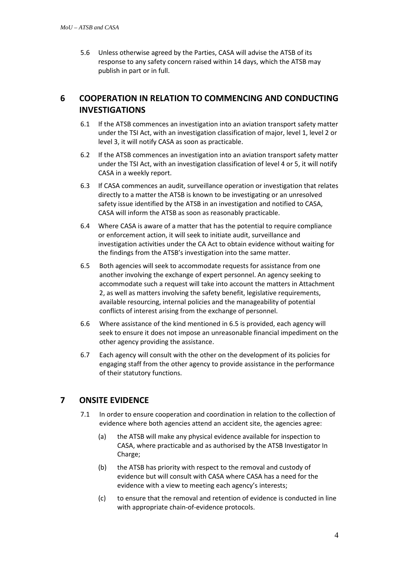5.6 Unless otherwise agreed by the Parties, CASA will advise the ATSB of its response to any safety concern raised within 14 days, which the ATSB may publish in part or in full.

# **6 COOPERATION IN RELATION TO COMMENCING AND CONDUCTING INVESTIGATIONS**

- 6.1 If the ATSB commences an investigation into an aviation transport safety matter under the TSI Act, with an investigation classification of major, level 1, level 2 or level 3, it will notify CASA as soon as practicable.
- 6.2 If the ATSB commences an investigation into an aviation transport safety matter under the TSI Act, with an investigation classification of level 4 or 5, it will notify CASA in a weekly report.
- 6.3 If CASA commences an audit, surveillance operation or investigation that relates directly to a matter the ATSB is known to be investigating or an unresolved safety issue identified by the ATSB in an investigation and notified to CASA, CASA will inform the ATSB as soon as reasonably practicable.
- 6.4 Where CASA is aware of a matter that has the potential to require compliance or enforcement action, it will seek to initiate audit, surveillance and investigation activities under the CA Act to obtain evidence without waiting for the findings from the ATSB's investigation into the same matter.
- 6.5 Both agencies will seek to accommodate requests for assistance from one another involving the exchange of expert personnel. An agency seeking to accommodate such a request will take into account the matters in Attachment 2, as well as matters involving the safety benefit, legislative requirements, available resourcing, internal policies and the manageability of potential conflicts of interest arising from the exchange of personnel.
- 6.6 Where assistance of the kind mentioned in 6.5 is provided, each agency will seek to ensure it does not impose an unreasonable financial impediment on the other agency providing the assistance.
- 6.7 Each agency will consult with the other on the development of its policies for engaging staff from the other agency to provide assistance in the performance of their statutory functions.

# **7 ONSITE EVIDENCE**

- 7.1 In order to ensure cooperation and coordination in relation to the collection of evidence where both agencies attend an accident site, the agencies agree:
	- (a) the ATSB will make any physical evidence available for inspection to CASA, where practicable and as authorised by the ATSB Investigator In Charge;
	- (b) the ATSB has priority with respect to the removal and custody of evidence but will consult with CASA where CASA has a need for the evidence with a view to meeting each agency's interests;
	- (c) to ensure that the removal and retention of evidence is conducted in line with appropriate chain-of-evidence protocols.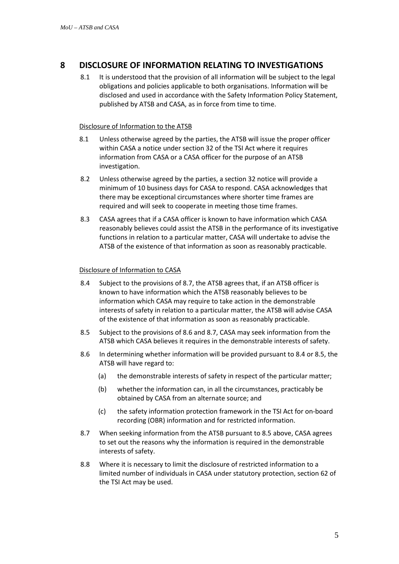# **8 DISCLOSURE OF INFORMATION RELATING TO INVESTIGATIONS**

8.1 It is understood that the provision of all information will be subject to the legal obligations and policies applicable to both organisations. Information will be disclosed and used in accordance with the Safety Information Policy Statement, published by ATSB and CASA, as in force from time to time.

#### Disclosure of Information to the ATSB

- 8.1 Unless otherwise agreed by the parties, the ATSB will issue the proper officer within CASA a notice under section 32 of the TSI Act where it requires information from CASA or a CASA officer for the purpose of an ATSB investigation.
- 8.2 Unless otherwise agreed by the parties, a section 32 notice will provide a minimum of 10 business days for CASA to respond. CASA acknowledges that there may be exceptional circumstances where shorter time frames are required and will seek to cooperate in meeting those time frames.
- 8.3 CASA agrees that if a CASA officer is known to have information which CASA reasonably believes could assist the ATSB in the performance of its investigative functions in relation to a particular matter, CASA will undertake to advise the ATSB of the existence of that information as soon as reasonably practicable.

#### Disclosure of Information to CASA

- 8.4 Subject to the provisions of 8.7, the ATSB agrees that, if an ATSB officer is known to have information which the ATSB reasonably believes to be information which CASA may require to take action in the demonstrable interests of safety in relation to a particular matter, the ATSB will advise CASA of the existence of that information as soon as reasonably practicable.
- 8.5 Subject to the provisions of 8.6 and 8.7, CASA may seek information from the ATSB which CASA believes it requires in the demonstrable interests of safety.
- 8.6 In determining whether information will be provided pursuant to 8.4 or 8.5, the ATSB will have regard to:
	- (a) the demonstrable interests of safety in respect of the particular matter;
	- (b) whether the information can, in all the circumstances, practicably be obtained by CASA from an alternate source; and
	- (c) the safety information protection framework in the TSI Act for on-board recording (OBR) information and for restricted information.
- 8.7 When seeking information from the ATSB pursuant to 8.5 above, CASA agrees to set out the reasons why the information is required in the demonstrable interests of safety.
- 8.8 Where it is necessary to limit the disclosure of restricted information to a limited number of individuals in CASA under statutory protection, section 62 of the TSI Act may be used.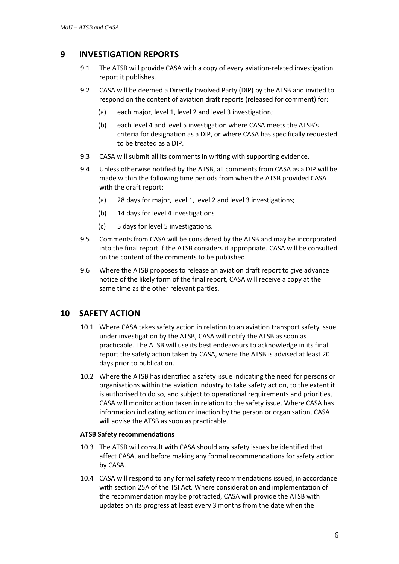# **9 INVESTIGATION REPORTS**

- 9.1 The ATSB will provide CASA with a copy of every aviation-related investigation report it publishes.
- 9.2 CASA will be deemed a Directly Involved Party (DIP) by the ATSB and invited to respond on the content of aviation draft reports (released for comment) for:
	- (a) each major, level 1, level 2 and level 3 investigation;
	- (b) each level 4 and level 5 investigation where CASA meets the ATSB's criteria for designation as a DIP, or where CASA has specifically requested to be treated as a DIP.
- 9.3 CASA will submit all its comments in writing with supporting evidence.
- 9.4 Unless otherwise notified by the ATSB, all comments from CASA as a DIP will be made within the following time periods from when the ATSB provided CASA with the draft report:
	- (a) 28 days for major, level 1, level 2 and level 3 investigations;
	- (b) 14 days for level 4 investigations
	- (c) 5 days for level 5 investigations.
- 9.5 Comments from CASA will be considered by the ATSB and may be incorporated into the final report if the ATSB considers it appropriate. CASA will be consulted on the content of the comments to be published.
- 9.6 Where the ATSB proposes to release an aviation draft report to give advance notice of the likely form of the final report, CASA will receive a copy at the same time as the other relevant parties.

# **10 SAFETY ACTION**

- 10.1 Where CASA takes safety action in relation to an aviation transport safety issue under investigation by the ATSB, CASA will notify the ATSB as soon as practicable. The ATSB will use its best endeavours to acknowledge in its final report the safety action taken by CASA, where the ATSB is advised at least 20 days prior to publication.
- 10.2 Where the ATSB has identified a safety issue indicating the need for persons or organisations within the aviation industry to take safety action, to the extent it is authorised to do so, and subject to operational requirements and priorities, CASA will monitor action taken in relation to the safety issue. Where CASA has information indicating action or inaction by the person or organisation, CASA will advise the ATSB as soon as practicable.

#### **ATSB Safety recommendations**

- 10.3 The ATSB will consult with CASA should any safety issues be identified that affect CASA, and before making any formal recommendations for safety action by CASA.
- 10.4 CASA will respond to any formal safety recommendations issued, in accordance with section 25A of the TSI Act. Where consideration and implementation of the recommendation may be protracted, CASA will provide the ATSB with updates on its progress at least every 3 months from the date when the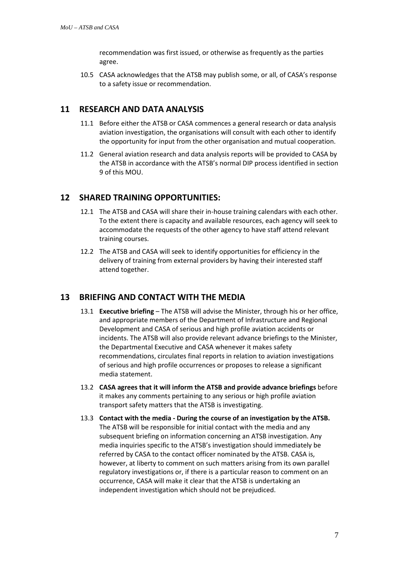recommendation was first issued, or otherwise as frequently as the parties agree.

10.5 CASA acknowledges that the ATSB may publish some, or all, of CASA's response to a safety issue or recommendation.

# **11 RESEARCH AND DATA ANALYSIS**

- 11.1 Before either the ATSB or CASA commences a general research or data analysis aviation investigation, the organisations will consult with each other to identify the opportunity for input from the other organisation and mutual cooperation.
- 11.2 General aviation research and data analysis reports will be provided to CASA by the ATSB in accordance with the ATSB's normal DIP process identified in section 9 of this MOU.

# **12 SHARED TRAINING OPPORTUNITIES:**

- 12.1 The ATSB and CASA will share their in-house training calendars with each other. To the extent there is capacity and available resources, each agency will seek to accommodate the requests of the other agency to have staff attend relevant training courses.
- 12.2 The ATSB and CASA will seek to identify opportunities for efficiency in the delivery of training from external providers by having their interested staff attend together.

### **13 BRIEFING AND CONTACT WITH THE MEDIA**

- 13.1 **Executive briefing** The ATSB will advise the Minister, through his or her office, and appropriate members of the Department of Infrastructure and Regional Development and CASA of serious and high profile aviation accidents or incidents. The ATSB will also provide relevant advance briefings to the Minister, the Departmental Executive and CASA whenever it makes safety recommendations, circulates final reports in relation to aviation investigations of serious and high profile occurrences or proposes to release a significant media statement.
- 13.2 **CASA agrees that it will inform the ATSB and provide advance briefings** before it makes any comments pertaining to any serious or high profile aviation transport safety matters that the ATSB is investigating.
- 13.3 **Contact with the media - During the course of an investigation by the ATSB.** The ATSB will be responsible for initial contact with the media and any subsequent briefing on information concerning an ATSB investigation. Any media inquiries specific to the ATSB's investigation should immediately be referred by CASA to the contact officer nominated by the ATSB. CASA is, however, at liberty to comment on such matters arising from its own parallel regulatory investigations or, if there is a particular reason to comment on an occurrence, CASA will make it clear that the ATSB is undertaking an independent investigation which should not be prejudiced.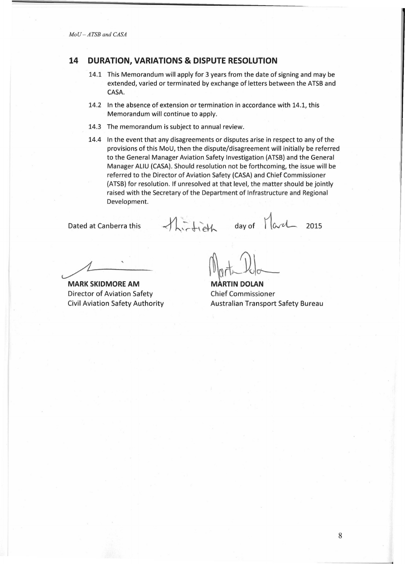## **14 DURATION, VARIATIONS & DISPUTE RESOLUTION**

- 14.1 This Memorandum will apply for 3 years from the date of signing and may be extended, varied or terminated by exchange of letters between the ATSB and CASA.
- 14.2 In the absence of extension or termination in accordance with 14.1, this Memorandum will continue to apply.
- 14.3 The memorandum is subject to annual review.
- 14.4 In the event that any disagreements or disputes arise in respect to any of the provisions of this MoU, then the dispute/disagreement will initially be referred to the General Manager Aviation Safety Investigation (ATSB) and the General Manager ALIU (CASA}. Should resolution not be forthcoming, the issue will be referred to the Director of Aviation Safety (CASA) and Chief Commissioner (ATSB) for resolution. If unresolved at that level, the matter should be jointly raised with the Secretary of the Department of Infrastructure and Regional Development.

Dated at Canberra this

thirtieth

day of  $\lceil \omega \rangle$  2015

**MARK SKIDMORE AM**  Director of Aviation Safety Civil Aviation Safety Authority

**MARTIN DOLAN** Chief Commissioner Australian Transport Safety Bureau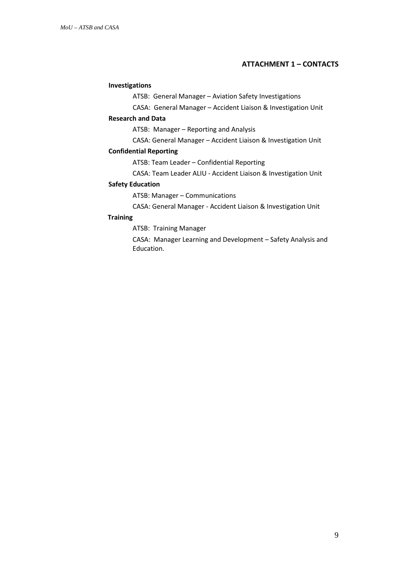### **ATTACHMENT 1 – CONTACTS**

### **Investigations**

ATSB: General Manager – Aviation Safety Investigations

CASA: General Manager – Accident Liaison & Investigation Unit

#### **Research and Data**

ATSB: Manager – Reporting and Analysis

CASA: General Manager – Accident Liaison & Investigation Unit

### **Confidential Reporting**

ATSB: Team Leader – Confidential Reporting

CASA: Team Leader ALIU - Accident Liaison & Investigation Unit

### **Safety Education**

ATSB: Manager – Communications

CASA: General Manager - Accident Liaison & Investigation Unit

#### **Training**

ATSB: Training Manager

CASA: Manager Learning and Development – Safety Analysis and Education.